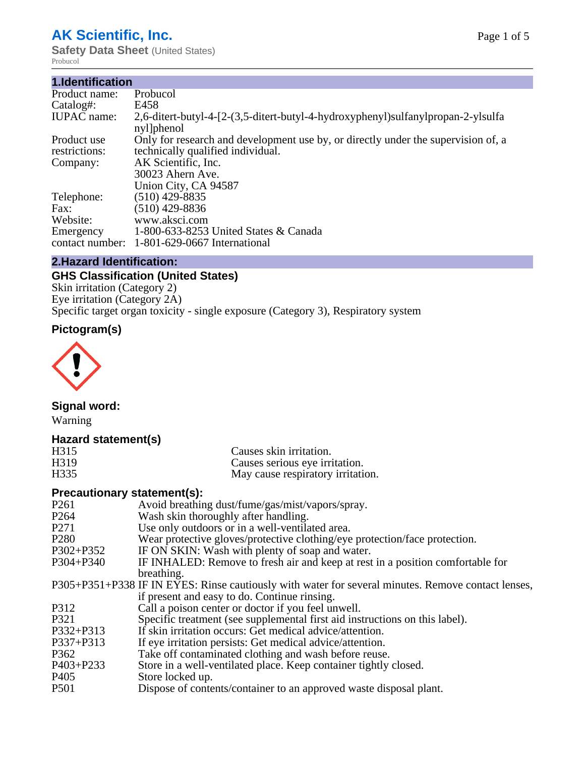# **AK Scientific, Inc.**

**Safety Data Sheet (United States)** Probucol

| 1.Identification   |                                                                                                |
|--------------------|------------------------------------------------------------------------------------------------|
| Product name:      | Probucol                                                                                       |
| Catalog#:          | E458                                                                                           |
| <b>IUPAC</b> name: | 2,6-ditert-butyl-4-[2-(3,5-ditert-butyl-4-hydroxyphenyl)sulfanylpropan-2-ylsulfa<br>nyl]phenol |
| Product use        | Only for research and development use by, or directly under the supervision of, a              |
| restrictions:      | technically qualified individual.                                                              |
| Company:           | AK Scientific, Inc.                                                                            |
|                    | 30023 Ahern Ave.                                                                               |
|                    | Union City, CA 94587                                                                           |
| Telephone:         | $(510)$ 429-8835                                                                               |
| Fax:               | (510) 429-8836                                                                                 |
| Website:           | www.aksci.com                                                                                  |
| Emergency          | 1-800-633-8253 United States & Canada                                                          |
| contact number:    | 1-801-629-0667 International                                                                   |

#### **2.Hazard Identification:**

# **GHS Classification (United States)**

Skin irritation (Category 2) Eye irritation (Category 2A) Specific target organ toxicity - single exposure (Category 3), Respiratory system

# **Pictogram(s)**



# **Signal word:**

Warning

# **Hazard statement(s)**

| H315              | Causes skin irritation.           |
|-------------------|-----------------------------------|
| H <sub>3</sub> 19 | Causes serious eye irritation.    |
| H <sub>335</sub>  | May cause respiratory irritation. |

# **Precautionary statement(s):**

| P <sub>261</sub> | Avoid breathing dust/fume/gas/mist/vapors/spray.                                                   |
|------------------|----------------------------------------------------------------------------------------------------|
| P <sub>264</sub> | Wash skin thoroughly after handling.                                                               |
| P <sub>271</sub> | Use only outdoors or in a well-ventilated area.                                                    |
| P <sub>280</sub> | Wear protective gloves/protective clothing/eye protection/face protection.                         |
| P302+P352        | IF ON SKIN: Wash with plenty of soap and water.                                                    |
| $P304 + P340$    | IF INHALED: Remove to fresh air and keep at rest in a position comfortable for                     |
|                  | breathing.                                                                                         |
|                  | P305+P351+P338 IF IN EYES: Rinse cautiously with water for several minutes. Remove contact lenses, |
|                  | if present and easy to do. Continue rinsing.                                                       |
| P312             | Call a poison center or doctor if you feel unwell.                                                 |
| P321             | Specific treatment (see supplemental first aid instructions on this label).                        |
| P332+P313        | If skin irritation occurs: Get medical advice/attention.                                           |
| $P337 + P313$    | If eye irritation persists: Get medical advice/attention.                                          |
| P362             | Take off contaminated clothing and wash before reuse.                                              |
| $P403 + P233$    | Store in a well-ventilated place. Keep container tightly closed.                                   |
| P <sub>405</sub> | Store locked up.                                                                                   |
| P <sub>501</sub> | Dispose of contents/container to an approved waste disposal plant.                                 |
|                  |                                                                                                    |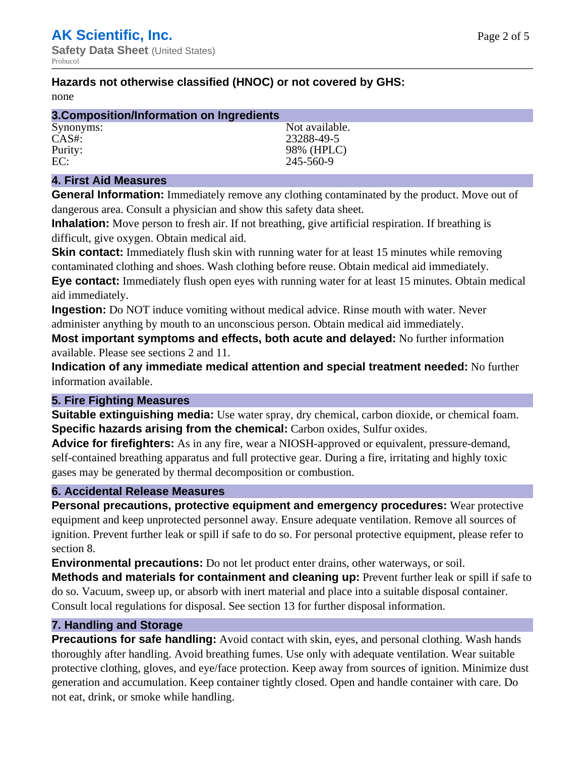# **Hazards not otherwise classified (HNOC) or not covered by GHS:**

none

| 3. Composition/Information on Ingredients |                |  |
|-------------------------------------------|----------------|--|
| Synonyms:                                 | Not available. |  |
| CAS#                                      | 23288-49-5     |  |
| Purity:                                   | 98% (HPLC)     |  |
| EC:                                       | 245-560-9      |  |

#### **4. First Aid Measures**

**General Information:** Immediately remove any clothing contaminated by the product. Move out of dangerous area. Consult a physician and show this safety data sheet.

**Inhalation:** Move person to fresh air. If not breathing, give artificial respiration. If breathing is difficult, give oxygen. Obtain medical aid.

**Skin contact:** Immediately flush skin with running water for at least 15 minutes while removing contaminated clothing and shoes. Wash clothing before reuse. Obtain medical aid immediately. **Eye contact:** Immediately flush open eyes with running water for at least 15 minutes. Obtain medical aid immediately.

**Ingestion:** Do NOT induce vomiting without medical advice. Rinse mouth with water. Never administer anything by mouth to an unconscious person. Obtain medical aid immediately.

**Most important symptoms and effects, both acute and delayed:** No further information available. Please see sections 2 and 11.

**Indication of any immediate medical attention and special treatment needed:** No further information available.

#### **5. Fire Fighting Measures**

**Suitable extinguishing media:** Use water spray, dry chemical, carbon dioxide, or chemical foam. **Specific hazards arising from the chemical:** Carbon oxides, Sulfur oxides.

**Advice for firefighters:** As in any fire, wear a NIOSH-approved or equivalent, pressure-demand, self-contained breathing apparatus and full protective gear. During a fire, irritating and highly toxic gases may be generated by thermal decomposition or combustion.

# **6. Accidental Release Measures**

**Personal precautions, protective equipment and emergency procedures:** Wear protective equipment and keep unprotected personnel away. Ensure adequate ventilation. Remove all sources of ignition. Prevent further leak or spill if safe to do so. For personal protective equipment, please refer to section 8.

**Environmental precautions:** Do not let product enter drains, other waterways, or soil.

**Methods and materials for containment and cleaning up:** Prevent further leak or spill if safe to do so. Vacuum, sweep up, or absorb with inert material and place into a suitable disposal container. Consult local regulations for disposal. See section 13 for further disposal information.

#### **7. Handling and Storage**

**Precautions for safe handling:** Avoid contact with skin, eyes, and personal clothing. Wash hands thoroughly after handling. Avoid breathing fumes. Use only with adequate ventilation. Wear suitable protective clothing, gloves, and eye/face protection. Keep away from sources of ignition. Minimize dust generation and accumulation. Keep container tightly closed. Open and handle container with care. Do not eat, drink, or smoke while handling.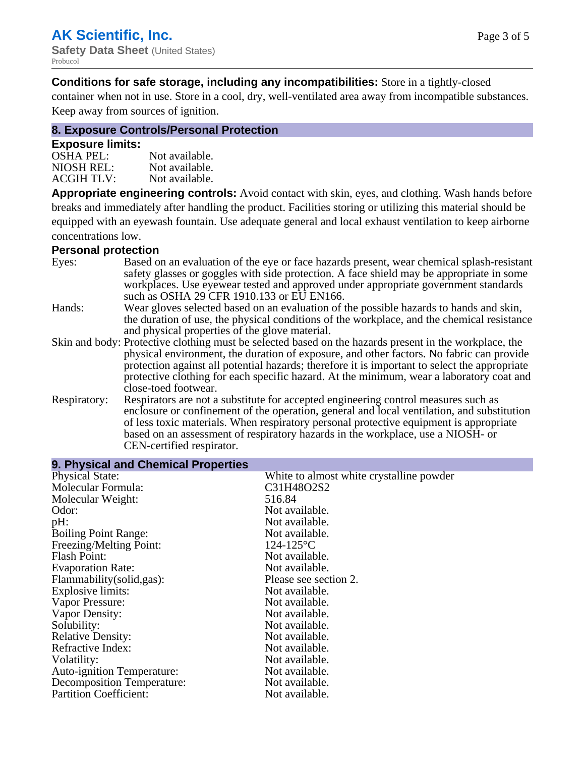**Conditions for safe storage, including any incompatibilities:** Store in a tightly-closed

container when not in use. Store in a cool, dry, well-ventilated area away from incompatible substances. Keep away from sources of ignition.

# **8. Exposure Controls/Personal Protection**

#### **Exposure limits:**

| <b>OSHA PEL:</b>  | Not available. |
|-------------------|----------------|
| NIOSH REL:        | Not available. |
| <b>ACGIH TLV:</b> | Not available. |

**Appropriate engineering controls:** Avoid contact with skin, eyes, and clothing. Wash hands before breaks and immediately after handling the product. Facilities storing or utilizing this material should be equipped with an eyewash fountain. Use adequate general and local exhaust ventilation to keep airborne concentrations low.

#### **Personal protection**

| Eyes:        | Based on an evaluation of the eye or face hazards present, wear chemical splash-resistant<br>safety glasses or goggles with side protection. A face shield may be appropriate in some<br>workplaces. Use eyewear tested and approved under appropriate government standards<br>such as OSHA 29 CFR 1910.133 or EU EN166. |
|--------------|--------------------------------------------------------------------------------------------------------------------------------------------------------------------------------------------------------------------------------------------------------------------------------------------------------------------------|
| Hands:       | Wear gloves selected based on an evaluation of the possible hazards to hands and skin,                                                                                                                                                                                                                                   |
|              | the duration of use, the physical conditions of the workplace, and the chemical resistance                                                                                                                                                                                                                               |
|              | and physical properties of the glove material.                                                                                                                                                                                                                                                                           |
|              | Skin and body: Protective clothing must be selected based on the hazards present in the workplace, the                                                                                                                                                                                                                   |
|              | physical environment, the duration of exposure, and other factors. No fabric can provide                                                                                                                                                                                                                                 |
|              | protection against all potential hazards; therefore it is important to select the appropriate                                                                                                                                                                                                                            |
|              | protective clothing for each specific hazard. At the minimum, wear a laboratory coat and                                                                                                                                                                                                                                 |
|              | close-toed footwear.                                                                                                                                                                                                                                                                                                     |
| Respiratory: | Respirators are not a substitute for accepted engineering control measures such as<br>enclosure or confinement of the operation, general and local ventilation, and substitution                                                                                                                                         |
|              | of less toxic materials. When respiratory personal protective equipment is appropriate                                                                                                                                                                                                                                   |
|              | based on an assessment of respiratory hazards in the workplace, use a NIOSH- or                                                                                                                                                                                                                                          |
|              | CEN-certified respirator.                                                                                                                                                                                                                                                                                                |

| 9. Physical and Chemical Properties |                                          |  |  |
|-------------------------------------|------------------------------------------|--|--|
| <b>Physical State:</b>              | White to almost white crystalline powder |  |  |
| Molecular Formula:                  | C31H48O2S2                               |  |  |
| Molecular Weight:                   | 516.84                                   |  |  |
| Odor:                               | Not available.                           |  |  |
| $pH$ :                              | Not available.                           |  |  |
| <b>Boiling Point Range:</b>         | Not available.                           |  |  |
| Freezing/Melting Point:             | $124 - 125$ °C                           |  |  |
| <b>Flash Point:</b>                 | Not available.                           |  |  |
| <b>Evaporation Rate:</b>            | Not available.                           |  |  |
| Flammability(solid,gas):            | Please see section 2.                    |  |  |
| <b>Explosive limits:</b>            | Not available.                           |  |  |
| Vapor Pressure:                     | Not available.                           |  |  |
| Vapor Density:                      | Not available.                           |  |  |
| Solubility:                         | Not available.                           |  |  |
| <b>Relative Density:</b>            | Not available.                           |  |  |
| Refractive Index:                   | Not available.                           |  |  |
| Volatility:                         | Not available.                           |  |  |
| <b>Auto-ignition Temperature:</b>   | Not available.                           |  |  |
| <b>Decomposition Temperature:</b>   | Not available.                           |  |  |
| <b>Partition Coefficient:</b>       | Not available.                           |  |  |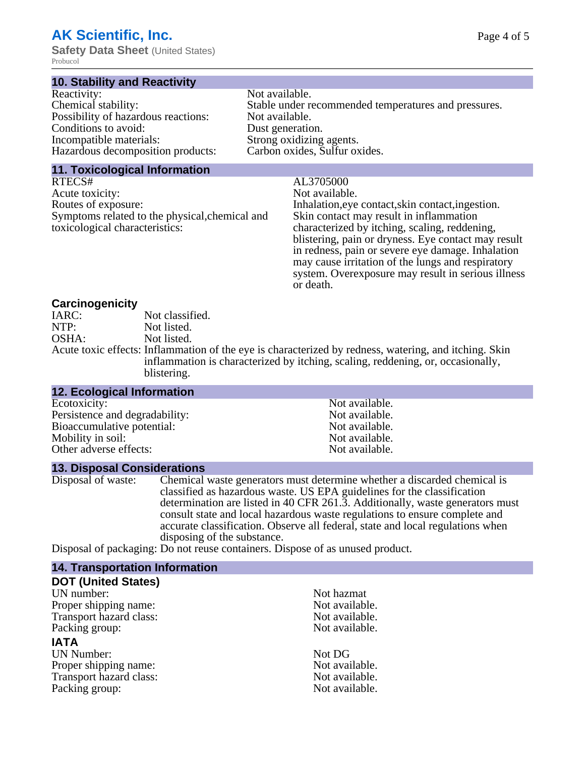# **AK Scientific, Inc.**

**Safety Data Sheet** (United States) Probucol

#### **10. Stability and Reactivity**

| Reactivity:                         | Not available.                                       |
|-------------------------------------|------------------------------------------------------|
| Chemical stability:                 | Stable under recommended temperatures and pressures. |
| Possibility of hazardous reactions: | Not available.                                       |
| Conditions to avoid:                | Dust generation.                                     |
| Incompatible materials:             | Strong oxidizing agents.                             |
| Hazardous decomposition products:   | Carbon oxides, Sulfur oxides.                        |
|                                     |                                                      |

#### **11. Toxicological Information**

RTECS# AL3705000<br>Acute toxicity: Not available. Acute toxicity:<br>Routes of exposure: Symptoms related to the physical,chemical and toxicological characteristics:

Inhalation,eye contact,skin contact,ingestion. Skin contact may result in inflammation characterized by itching, scaling, reddening, blistering, pain or dryness. Eye contact may result in redness, pain or severe eye damage. Inhalation may cause irritation of the lungs and respiratory system. Overexposure may result in serious illness or death.

# **Carcinogenicity**

| IARC: | Not classified.                                                                                       |
|-------|-------------------------------------------------------------------------------------------------------|
| NTP:  | Not listed.                                                                                           |
| OSHA: | Not listed.                                                                                           |
|       | Acute toxic effects: Inflammation of the eye is characterized by redness, watering, and itching. Skin |
|       | inflammation is characterized by itching, scaling, reddening, or, occasionally,                       |
|       | blistering.                                                                                           |

| <b>12. Ecological Information</b> |                |  |
|-----------------------------------|----------------|--|
| Ecotoxicity:                      | Not available. |  |
| Persistence and degradability:    | Not available. |  |
| Bioaccumulative potential:        | Not available. |  |
| Mobility in soil:                 | Not available. |  |
| Other adverse effects:            | Not available. |  |

#### **13. Disposal Considerations**

Disposal of waste: Chemical waste generators must determine whether a discarded chemical is classified as hazardous waste. US EPA guidelines for the classification determination are listed in 40 CFR 261.3. Additionally, waste generators must consult state and local hazardous waste regulations to ensure complete and accurate classification. Observe all federal, state and local regulations when disposing of the substance.

Disposal of packaging: Do not reuse containers. Dispose of as unused product.

| Not hazmat     |
|----------------|
| Not available. |
| Not available. |
| Not available. |
|                |
| Not DG         |
| Not available. |
| Not available. |
| Not available. |
|                |